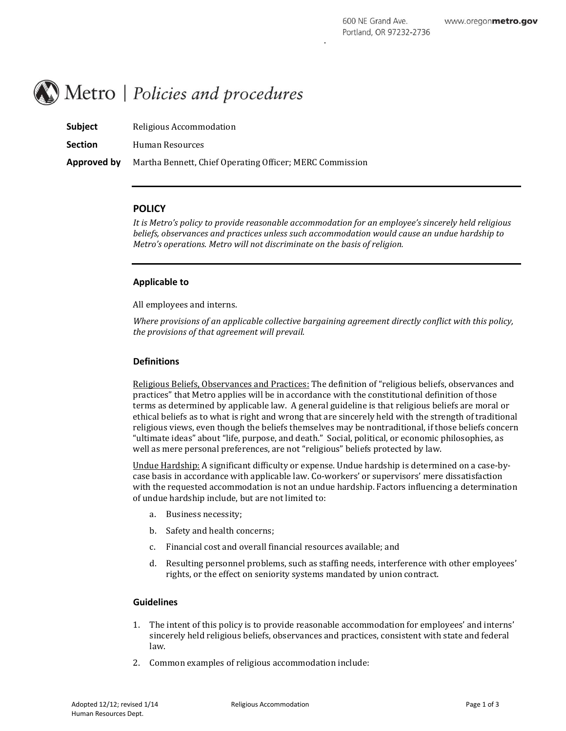# Metro | Policies and procedures

| <b>Subject</b> | Religious Accommodation                                  |
|----------------|----------------------------------------------------------|
| <b>Section</b> | Human Resources                                          |
| Approved by    | Martha Bennett, Chief Operating Officer; MERC Commission |

# **POLICY**

*It is Metro's policy to provide reasonable accommodation for an employee's sincerely held religious beliefs, observances and practices unless such accommodation would cause an undue hardship to Metro's operations. Metro will not discriminate on the basis of religion.*

# **Applicable to**

All employees and interns.

*Where provisions of an applicable collective bargaining agreement directly conflict with this policy, the provisions of that agreement will prevail.*

## **Definitions**

Religious Beliefs, Observances and Practices: The definition of "religious beliefs, observances and practices" that Metro applies will be in accordance with the constitutional definition of those terms as determined by applicable law. A general guideline is that religious beliefs are moral or ethical beliefs as to what is right and wrong that are sincerely held with the strength of traditional religious views, even though the beliefs themselves may be nontraditional, if those beliefs concern "ultimate ideas" about "life, purpose, and death." Social, political, or economic philosophies, as well as mere personal preferences, are not "religious" beliefs protected by law.

Undue Hardship: A significant difficulty or expense. Undue hardship is determined on a case-bycase basis in accordance with applicable law. Co-workers' or supervisors' mere dissatisfaction with the requested accommodation is not an undue hardship. Factors influencing a determination of undue hardship include, but are not limited to:

- a. Business necessity;
- b. Safety and health concerns;
- c. Financial cost and overall financial resources available; and
- d. Resulting personnel problems, such as staffing needs, interference with other employees' rights, or the effect on seniority systems mandated by union contract.

## **Guidelines**

- 1. The intent of this policy is to provide reasonable accommodation for employees' and interns' sincerely held religious beliefs, observances and practices, consistent with state and federal law.
- 2. Common examples of religious accommodation include: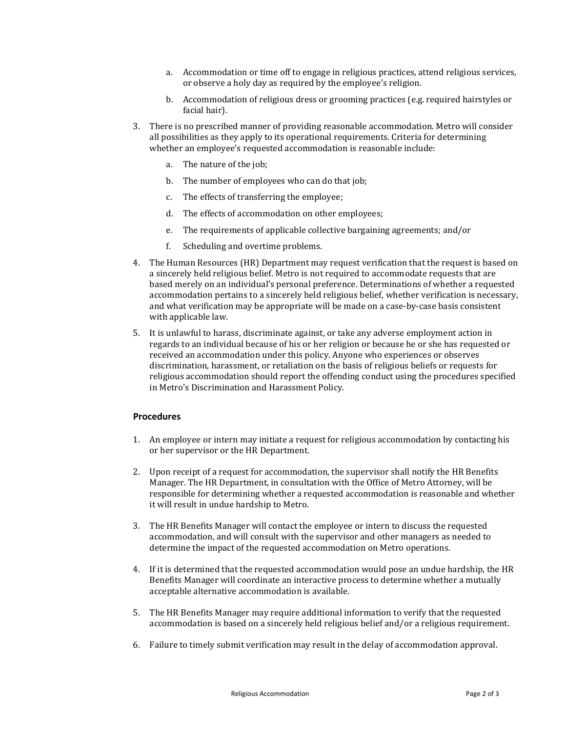- a. Accommodation or time off to engage in religious practices, attend religious services, or observe a holy day as required by the employee's religion.
- b. Accommodation of religious dress or grooming practices (e.g. required hairstyles or facial hair).
- 3. There is no prescribed manner of providing reasonable accommodation. Metro will consider all possibilities as they apply to its operational requirements. Criteria for determining whether an employee's requested accommodation is reasonable include:
	- a. The nature of the job;
	- b. The number of employees who can do that job;
	- c. The effects of transferring the employee;
	- d. The effects of accommodation on other employees;
	- e. The requirements of applicable collective bargaining agreements; and/or
	- f. Scheduling and overtime problems.
- 4. The Human Resources (HR) Department may request verification that the request is based on a sincerely held religious belief. Metro is not required to accommodate requests that are based merely on an individual's personal preference. Determinations of whether a requested accommodation pertains to a sincerely held religious belief, whether verification is necessary, and what verification may be appropriate will be made on a case-by-case basis consistent with applicable law.
- 5. It is unlawful to harass, discriminate against, or take any adverse employment action in regards to an individual because of his or her religion or because he or she has requested or received an accommodation under this policy. Anyone who experiences or observes discrimination, harassment, or retaliation on the basis of religious beliefs or requests for religious accommodation should report the offending conduct using the procedures specified in Metro's Discrimination and Harassment Policy.

# **Procedures**

- 1. An employee or intern may initiate a request for religious accommodation by contacting his or her supervisor or the HR Department.
- 2. Upon receipt of a request for accommodation, the supervisor shall notify the HR Benefits Manager. The HR Department, in consultation with the Office of Metro Attorney, will be responsible for determining whether a requested accommodation is reasonable and whether it will result in undue hardship to Metro.
- 3. The HR Benefits Manager will contact the employee or intern to discuss the requested accommodation, and will consult with the supervisor and other managers as needed to determine the impact of the requested accommodation on Metro operations.
- 4. If it is determined that the requested accommodation would pose an undue hardship, the HR Benefits Manager will coordinate an interactive process to determine whether a mutually acceptable alternative accommodation is available.
- 5. The HR Benefits Manager may require additional information to verify that the requested accommodation is based on a sincerely held religious belief and/or a religious requirement.
- 6. Failure to timely submit verification may result in the delay of accommodation approval.